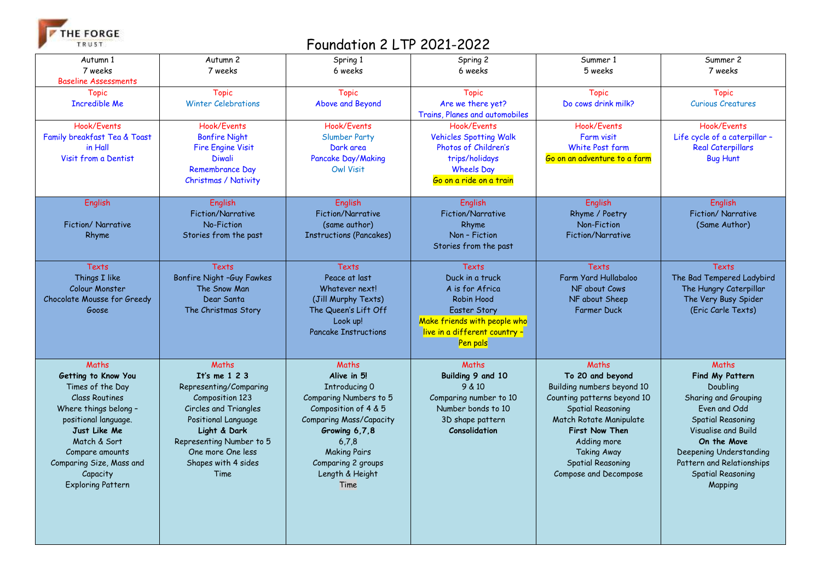THE FORGE TRUST

## Foundation 2 LTP 2021-2022

| Autumn 1<br>7 weeks<br><b>Baseline Assessments</b>                                                                                                                                                                                                | Autumn 2<br>7 weeks                                                                                                                                                                                                 | Spring 1<br>6 weeks                                                                                                                                                                                                         | Spring 2<br>6 weeks                                                                                                                                                  | Summer 1<br>5 weeks                                                                                                                                                                                                                                | Summer 2<br>7 weeks                                                                                                                                                                                                                           |
|---------------------------------------------------------------------------------------------------------------------------------------------------------------------------------------------------------------------------------------------------|---------------------------------------------------------------------------------------------------------------------------------------------------------------------------------------------------------------------|-----------------------------------------------------------------------------------------------------------------------------------------------------------------------------------------------------------------------------|----------------------------------------------------------------------------------------------------------------------------------------------------------------------|----------------------------------------------------------------------------------------------------------------------------------------------------------------------------------------------------------------------------------------------------|-----------------------------------------------------------------------------------------------------------------------------------------------------------------------------------------------------------------------------------------------|
| <b>Topic</b><br><b>Incredible Me</b>                                                                                                                                                                                                              | <b>Topic</b><br><b>Winter Celebrations</b>                                                                                                                                                                          | <b>Topic</b><br>Above and Beyond                                                                                                                                                                                            | <b>Topic</b><br>Are we there yet?<br>Trains, Planes and automobiles                                                                                                  | <b>Topic</b><br>Do cows drink milk?                                                                                                                                                                                                                | <b>Topic</b><br><b>Curious Creatures</b>                                                                                                                                                                                                      |
| Hook/Events<br>Family breakfast Tea & Toast<br>in Hall<br>Visit from a Dentist                                                                                                                                                                    | Hook/Events<br><b>Bonfire Night</b><br><b>Fire Engine Visit</b><br><b>Diwali</b><br><b>Remembrance Day</b><br>Christmas / Nativity                                                                                  | Hook/Events<br><b>Slumber Party</b><br>Dark area<br>Pancake Day/Making<br><b>Owl Visit</b>                                                                                                                                  | Hook/Fvents<br><b>Vehicles Spotting Walk</b><br>Photos of Children's<br>trips/holidays<br><b>Wheels Day</b><br>Go on a ride on a train                               | Hook/Events<br>Farm visit<br>White Post farm<br>Go on an adventure to a farm                                                                                                                                                                       | Hook/Events<br>Life cycle of a caterpillar -<br><b>Real Caterpillars</b><br><b>Bug Hunt</b>                                                                                                                                                   |
| <b>English</b><br>Fiction/Narrative<br>Rhyme                                                                                                                                                                                                      | <b>English</b><br>Fiction/Narrative<br>No-Fiction<br>Stories from the past                                                                                                                                          | <b>English</b><br>Fiction/Narrative<br>(same author)<br><b>Instructions (Pancakes)</b>                                                                                                                                      | <b>English</b><br><b>Fiction/Narrative</b><br>Rhyme<br>Non - Fiction<br>Stories from the past                                                                        | English<br>Rhyme / Poetry<br>Non-Fiction<br>Fiction/Narrative                                                                                                                                                                                      | <b>English</b><br>Fiction/ Narrative<br>(Same Author)                                                                                                                                                                                         |
| <b>Texts</b><br>Things I like<br>Colour Monster<br>Chocolate Mousse for Greedy<br>Goose                                                                                                                                                           | <b>Texts</b><br>Bonfire Night -Guy Fawkes<br>The Snow Man<br>Dear Santa<br>The Christmas Story                                                                                                                      | <b>Texts</b><br>Peace at last<br>Whatever next!<br>(Jill Murphy Texts)<br>The Queen's Lift Off<br>Look up!<br><b>Pancake Instructions</b>                                                                                   | <b>Texts</b><br>Duck in a truck<br>A is for Africa<br>Robin Hood<br><b>Easter Story</b><br>Make friends with people who<br>live in a different country -<br>Pen pals | <b>Texts</b><br>Farm Yard Hullabaloo<br>NF about Cows<br>NF about Sheep<br><b>Farmer Duck</b>                                                                                                                                                      | <b>Texts</b><br>The Bad Tempered Ladybird<br>The Hungry Caterpillar<br>The Very Busy Spider<br>(Eric Carle Texts)                                                                                                                             |
| Maths<br>Getting to Know You<br>Times of the Day<br><b>Class Routines</b><br>Where things belong -<br>positional language.<br>Just Like Me<br>Match & Sort<br>Compare amounts<br>Comparing Size, Mass and<br>Capacity<br><b>Exploring Pattern</b> | Maths<br>It's me $123$<br>Representing/Comparing<br>Composition 123<br>Circles and Triangles<br>Positional Language<br>Light & Dark<br>Representing Number to 5<br>One more One less<br>Shapes with 4 sides<br>Time | Maths<br>Alive in 5!<br>Introducing 0<br>Comparing Numbers to 5<br>Composition of 4 & 5<br><b>Comparing Mass/Capacity</b><br>Growing 6,7,8<br>6,7,8<br><b>Making Pairs</b><br>Comparing 2 groups<br>Length & Height<br>Time | Maths<br>Building 9 and 10<br>9 & 10<br>Comparing number to 10<br>Number bonds to 10<br>3D shape pattern<br>Consolidation                                            | Maths<br>To 20 and beyond<br>Building numbers beyond 10<br>Counting patterns beyond 10<br><b>Spatial Reasoning</b><br>Match Rotate Manipulate<br>First Now Then<br>Adding more<br><b>Taking Away</b><br>Spatial Reasoning<br>Compose and Decompose | Maths<br>Find My Pattern<br>Doubling<br>Sharing and Grouping<br>Even and Odd<br><b>Spatial Reasoning</b><br>Visualise and Build<br>On the Move<br>Deepening Understanding<br>Pattern and Relationships<br><b>Spatial Reasoning</b><br>Mapping |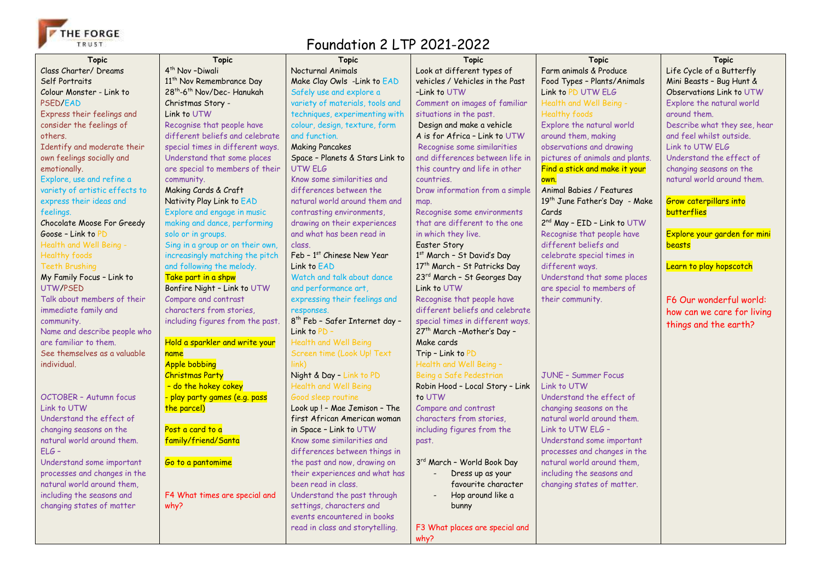

## Foundation 2 LTP 2021-2022

| <b>Topic</b>                              | <b>Topic</b>                                                  | <b>Topic</b>                                              | <b>Topic</b>                                               | <b>Topic</b>                              | <b>Topic</b>                                             |
|-------------------------------------------|---------------------------------------------------------------|-----------------------------------------------------------|------------------------------------------------------------|-------------------------------------------|----------------------------------------------------------|
| Class Charter/ Dreams                     | 4 <sup>th</sup> Nov-Diwali                                    | Nocturnal Animals                                         | Look at different types of                                 | Farm animals & Produce                    | Life Cycle of a Butterfly                                |
| Self Portraits                            | 11 <sup>th</sup> Nov Remembrance Day                          | Make Clay Owls -Link to EAD                               | vehicles / Vehicles in the Past                            | Food Types - Plants/Animals               | Mini Beasts - Bug Hunt &                                 |
| Colour Monster - Link to                  | 28 <sup>th</sup> -6 <sup>th</sup> Nov/Dec- Hanukah            | Safely use and explore a                                  | -Link to UTW                                               | Link to PD UTW ELG                        | Observations Link to UTW                                 |
| PSED/EAD                                  | Christmas Story -                                             | variety of materials, tools and                           | Comment on images of familiar                              | Health and Well Being -                   | Explore the natural world                                |
| Express their feelings and                | Link to UTW                                                   | techniques, experimenting with                            | situations in the past.                                    | <b>Healthy foods</b>                      | around them.                                             |
|                                           |                                                               |                                                           |                                                            | Explore the natural world                 |                                                          |
| consider the feelings of<br>others.       | Recognise that people have<br>different beliefs and celebrate | colour, design, texture, form<br>and function.            | Design and make a vehicle<br>A is for Africa - Link to UTW | around them, making                       | Describe what they see, hear<br>and feel whilst outside. |
| Identify and moderate their               | special times in different ways.                              | <b>Making Pancakes</b>                                    | Recognise some similarities                                | observations and drawing                  | Link to UTW FLG                                          |
| own feelings socially and                 | Understand that some places                                   |                                                           | and differences between life in                            | pictures of animals and plants.           | Understand the effect of                                 |
|                                           | are special to members of their                               | Space - Planets & Stars Link to<br>UTW ELG                |                                                            |                                           |                                                          |
| emotionally.<br>Explore, use and refine a |                                                               | Know some similarities and                                | this country and life in other<br>countries.               | Find a stick and make it your<br>own.     | changing seasons on the<br>natural world around them.    |
| variety of artistic effects to            | community.<br>Making Cards & Craft                            | differences between the                                   | Draw information from a simple                             | Animal Babies / Features                  |                                                          |
|                                           |                                                               |                                                           |                                                            | 19 <sup>th</sup> June Father's Day - Make |                                                          |
| express their ideas and                   | Nativity Play Link to EAD                                     | natural world around them and                             | map.                                                       |                                           | <b>Grow caterpillars into</b><br><b>butterflies</b>      |
| feelings.                                 | Explore and engage in music                                   | contrasting environments,                                 | Recognise some environments                                | Cards                                     |                                                          |
| Chocolate Moose For Greedy                | making and dance, performing                                  | drawing on their experiences<br>and what has been read in | that are different to the one                              | 2 <sup>nd</sup> May - EID - Link to UTW   | Explore your garden for mini                             |
| Goose - Link to PD                        | solo or in groups.                                            | class.                                                    | in which they live.                                        | Recognise that people have                |                                                          |
| Health and Well Being -                   | Sing in a group or on their own,                              |                                                           | Easter Story                                               | different beliefs and                     | beasts                                                   |
| <b>Healthy foods</b>                      | increasingly matching the pitch                               | Feb - 1st Chinese New Year                                | 1st March - St David's Day                                 | celebrate special times in                |                                                          |
| <b>Teeth Brushing</b>                     | and following the melody.                                     | Link to EAD                                               | 17th March - St Patricks Day                               | different ways.                           | Learn to play hopscotch                                  |
| My Family Focus - Link to                 | Take part in a shpw                                           | Watch and talk about dance                                | 23rd March - St Georges Day                                | Understand that some places               |                                                          |
| UTW/PSED                                  | Bonfire Night - Link to UTW                                   | and performance art,                                      | Link to UTW                                                | are special to members of                 |                                                          |
| Talk about members of their               | Compare and contrast                                          | expressing their feelings and                             | Recognise that people have                                 | their community.                          | F6 Our wonderful world:                                  |
| immediate family and                      | characters from stories,                                      | responses.                                                | different beliefs and celebrate                            |                                           | how can we care for living                               |
| community.                                | including figures from the past.                              | 8 <sup>th</sup> Feb - Safer Internet day -                | special times in different ways.                           |                                           | things and the earth?                                    |
| Name and describe people who              |                                                               | Link to PD -                                              | 27 <sup>th</sup> March - Mother's Day -                    |                                           |                                                          |
| are familiar to them.                     | Hold a sparkler and write your                                | <b>Health and Well Being</b>                              | Make cards                                                 |                                           |                                                          |
| See themselves as a valuable              | name                                                          | Screen time (Look Up! Text                                | Trip - Link to PD                                          |                                           |                                                          |
| individual.                               | <b>Apple bobbing</b>                                          | link)                                                     | Health and Well Being -                                    |                                           |                                                          |
|                                           | <b>Christmas Party</b>                                        | Night & Day - Link to PD                                  | Being a Safe Pedestrian                                    | <b>JUNE - Summer Focus</b>                |                                                          |
|                                           | - do the hokey cokey                                          | <b>Health and Well Being</b>                              | Robin Hood - Local Story - Link                            | Link to UTW                               |                                                          |
| OCTOBER - Autumn focus                    | play party games (e.g. pass                                   | Good sleep routine                                        | to UTW                                                     | Understand the effect of                  |                                                          |
| Link to UTW                               | the parcel)                                                   | Look up ! - Mae Jemison - The                             | Compare and contrast                                       | changing seasons on the                   |                                                          |
| Understand the effect of                  |                                                               | first African American woman                              | characters from stories,                                   | natural world around them.                |                                                          |
| changing seasons on the                   | Post a card to a                                              | in Space - Link to UTW                                    | including figures from the                                 | Link to UTW ELG -                         |                                                          |
| natural world around them.                | family/friend/Santa                                           | Know some similarities and                                | past.                                                      | Understand some important                 |                                                          |
| $FLG -$                                   |                                                               | differences between things in                             |                                                            | processes and changes in the              |                                                          |
| Understand some important                 | Go to a pantomime                                             | the past and now, drawing on                              | 3rd March - World Book Day                                 | natural world around them,                |                                                          |
| processes and changes in the              |                                                               | their experiences and what has                            | Dress up as your                                           | including the seasons and                 |                                                          |
| natural world around them,                |                                                               | been read in class.                                       | favourite character                                        | changing states of matter.                |                                                          |
| including the seasons and                 | F4 What times are special and                                 | Understand the past through                               | Hop around like a                                          |                                           |                                                          |
| changing states of matter                 | why?                                                          | settings, characters and                                  | bunny                                                      |                                           |                                                          |
|                                           |                                                               | events encountered in books                               |                                                            |                                           |                                                          |
|                                           |                                                               | read in class and storytelling.                           | F3 What places are special and                             |                                           |                                                          |
|                                           |                                                               |                                                           | why?                                                       |                                           |                                                          |